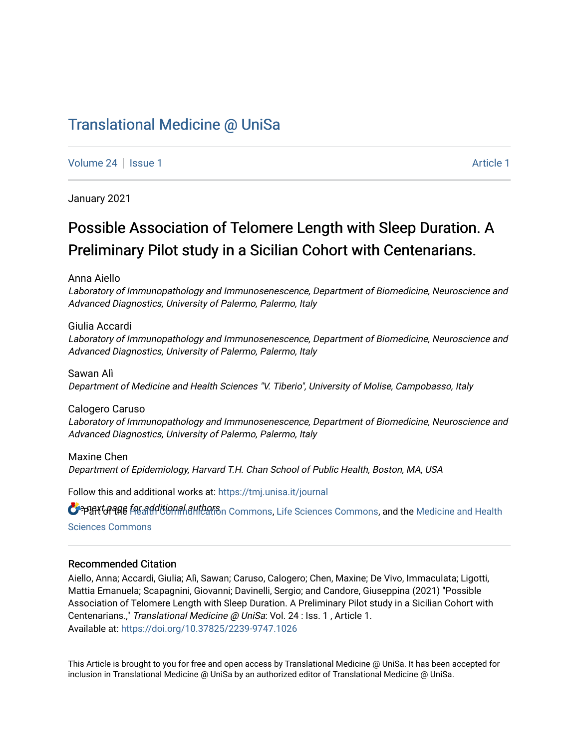# [Translational Medicine @ UniSa](https://tmj.unisa.it/journal)

[Volume 24](https://tmj.unisa.it/journal/vol24) | [Issue 1](https://tmj.unisa.it/journal/vol24/iss1) [Article 1](https://tmj.unisa.it/journal/vol24/iss1/1) Article 1 Article 1 Article 1 Article 1 Article 1 Article 1 Article 1 Article 1

January 2021

# Possible Association of Telomere Length with Sleep Duration. A Preliminary Pilot study in a Sicilian Cohort with Centenarians.

Anna Aiello

Laboratory of Immunopathology and Immunosenescence, Department of Biomedicine, Neuroscience and Advanced Diagnostics, University of Palermo, Palermo, Italy

Giulia Accardi Laboratory of Immunopathology and Immunosenescence, Department of Biomedicine, Neuroscience and Advanced Diagnostics, University of Palermo, Palermo, Italy

Sawan Alì Department of Medicine and Health Sciences "V. Tiberio", University of Molise, Campobasso, Italy

Calogero Caruso Laboratory of Immunopathology and Immunosenescence, Department of Biomedicine, Neuroscience and Advanced Diagnostics, University of Palermo, Palermo, Italy

Maxine Chen Department of Epidemiology, Harvard T.H. Chan School of Public Health, Boston, MA, USA

Follow this and additional works at: [https://tmj.unisa.it/journal](https://tmj.unisa.it/journal?utm_source=tmj.unisa.it%2Fjournal%2Fvol24%2Fiss1%2F1&utm_medium=PDF&utm_campaign=PDFCoverPages)

OPPERT OF THE TREADDITION AND THE MEAN OF THE SCIENCES COMMONS, and the [Medicine and Health](https://network.bepress.com/hgg/discipline/648?utm_source=tmj.unisa.it%2Fjournal%2Fvol24%2Fiss1%2F1&utm_medium=PDF&utm_campaign=PDFCoverPages)

[Sciences Commons](https://network.bepress.com/hgg/discipline/648?utm_source=tmj.unisa.it%2Fjournal%2Fvol24%2Fiss1%2F1&utm_medium=PDF&utm_campaign=PDFCoverPages) 

#### Recommended Citation

Aiello, Anna; Accardi, Giulia; Alì, Sawan; Caruso, Calogero; Chen, Maxine; De Vivo, Immaculata; Ligotti, Mattia Emanuela; Scapagnini, Giovanni; Davinelli, Sergio; and Candore, Giuseppina (2021) "Possible Association of Telomere Length with Sleep Duration. A Preliminary Pilot study in a Sicilian Cohort with Centenarians.," Translational Medicine @ UniSa: Vol. 24 : Iss. 1 , Article 1. Available at:<https://doi.org/10.37825/2239-9747.1026>

This Article is brought to you for free and open access by Translational Medicine @ UniSa. It has been accepted for inclusion in Translational Medicine @ UniSa by an authorized editor of Translational Medicine @ UniSa.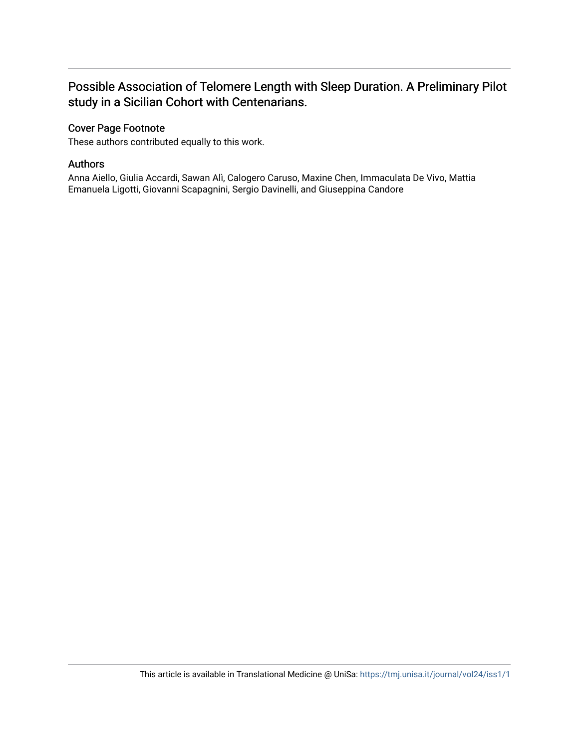## Possible Association of Telomere Length with Sleep Duration. A Preliminary Pilot study in a Sicilian Cohort with Centenarians.

## Cover Page Footnote

These authors contributed equally to this work.

## Authors

Anna Aiello, Giulia Accardi, Sawan Alì, Calogero Caruso, Maxine Chen, Immaculata De Vivo, Mattia Emanuela Ligotti, Giovanni Scapagnini, Sergio Davinelli, and Giuseppina Candore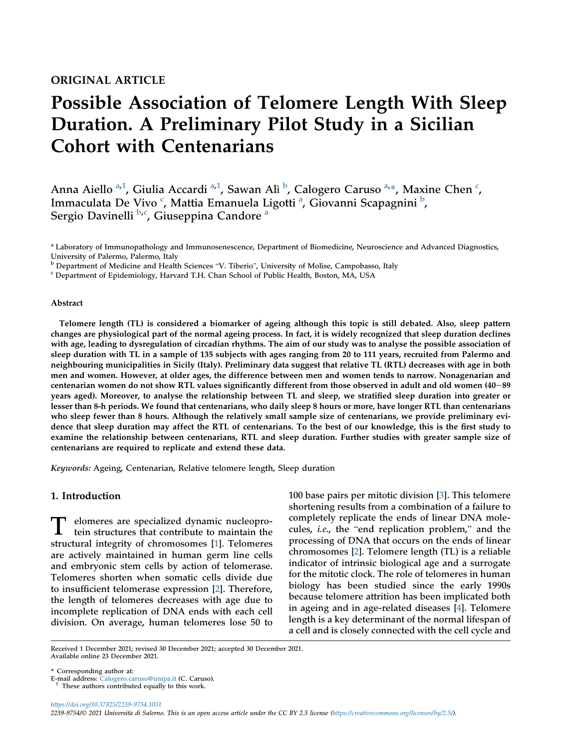## ORIGINAL ARTICLE

# Possible Association of Telomere Length With Sleep Duration. A Preliminary Pilot Study in a Sicilian Cohort with Centenarians

Ann[a](#page-2-0) Aiello <sup>a[,1](#page-2-1)</sup>, Giulia Accardi <sup>a,[1](#page-2-1)</sup>, Sawan Alì <sup>[b](#page-2-2)</sup>, Calogero Caruso <sup>[a,](#page-2-0)</sup>\*, Maxine Chen <sup>[c](#page-2-3)</sup>, Imma[c](#page-2-3)ul[a](#page-2-0)ta De Vivo <sup>c</sup>, Mattia Emanuela Ligotti <sup>a</sup>, Giovanni Scapagnini <sup>[b](#page-2-2)</sup>, Sergio Davinelli <sup>[b](#page-2-2)[,c](#page-2-3)</sup>, Giuseppin[a](#page-2-0) Candore <sup>a</sup>

<span id="page-2-0"></span><sup>a</sup> Laboratory of Immunopathology and Immunosenescence, Department of Biomedicine, Neuroscience and Advanced Diagnostics, University of Palermo, Palermo, Italy

<span id="page-2-2"></span> $\overline{b}$  Department of Medicine and Health Sciences "V. Tiberio", University of Molise, Campobasso, Italy C Department of Epidemiology, Harvard T.H. Chan School of Public Health, Boston, MA, USA

<span id="page-2-3"></span>

#### Abstract

Telomere length (TL) is considered a biomarker of ageing although this topic is still debated. Also, sleep pattern changes are physiological part of the normal ageing process. In fact, it is widely recognized that sleep duration declines with age, leading to dysregulation of circadian rhythms. The aim of our study was to analyse the possible association of sleep duration with TL in a sample of 135 subjects with ages ranging from 20 to 111 years, recruited from Palermo and neighbouring municipalities in Sicily (Italy). Preliminary data suggest that relative TL (RTL) decreases with age in both men and women. However, at older ages, the difference between men and women tends to narrow. Nonagenarian and centenarian women do not show RTL values significantly different from those observed in adult and old women (40-89 years aged). Moreover, to analyse the relationship between TL and sleep, we stratified sleep duration into greater or lesser than 8-h periods. We found that centenarians, who daily sleep 8 hours or more, have longer RTL than centenarians who sleep fewer than 8 hours. Although the relatively small sample size of centenarians, we provide preliminary evidence that sleep duration may affect the RTL of centenarians. To the best of our knowledge, this is the first study to examine the relationship between centenarians, RTL and sleep duration. Further studies with greater sample size of centenarians are required to replicate and extend these data.

Keywords: Ageing, Centenarian, Relative telomere length, Sleep duration

#### 1. Introduction

dependence or especialized dynamic nucleoprotein structures that contribute to maintain the structural integrity of chromosomes [[1\]](#page-6-0). Telomeres are actively maintained in human germ line cells and embryonic stem cells by action of telomerase. Telomeres shorten when somatic cells divide due to insufficient telomerase expression [\[2](#page-6-1)]. Therefore, the length of telomeres decreases with age due to incomplete replication of DNA ends with each cell division. On average, human telomeres lose 50 to 100 base pairs per mitotic division [[3\]](#page-6-2). This telomere shortening results from a combination of a failure to completely replicate the ends of linear DNA molecules, i.e., the "end replication problem," and the processing of DNA that occurs on the ends of linear chromosomes [[2\]](#page-6-1). Telomere length (TL) is a reliable indicator of intrinsic biological age and a surrogate for the mitotic clock. The role of telomeres in human biology has been studied since the early 1990s because telomere attrition has been implicated both in ageing and in age-related diseases [\[4](#page-6-3)]. Telomere length is a key determinant of the normal lifespan of a cell and is closely connected with the cell cycle and

https://doi.org/10.37825/2239-9754.1031 2239-9754/© 2021 Universita di Salerno. This is an open access article under the CC BY 2.5 license (<https://creativecommons.org/licenses/by/2.5/>).

Received 1 December 2021; revised 30 December 2021; accepted 30 December 2021. Available online 23 December 2021.

<sup>\*</sup> Corresponding author at:

<span id="page-2-1"></span> $1$  These authors contributed equally to this work.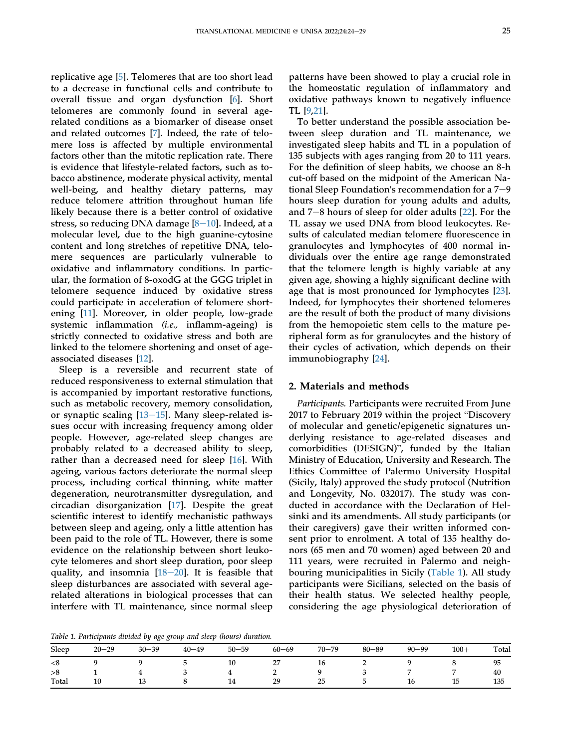replicative age [[5\]](#page-6-4). Telomeres that are too short lead to a decrease in functional cells and contribute to overall tissue and organ dysfunction [[6\]](#page-6-5). Short telomeres are commonly found in several agerelated conditions as a biomarker of disease onset and related outcomes [[7\]](#page-6-6). Indeed, the rate of telomere loss is affected by multiple environmental factors other than the mitotic replication rate. There is evidence that lifestyle-related factors, such as tobacco abstinence, moderate physical activity, mental well-being, and healthy dietary patterns, may reduce telomere attrition throughout human life likely because there is a better control of oxidative stress, so reducing DNA damage  $[8-10]$  $[8-10]$  $[8-10]$ . Indeed, at a molecular level, due to the high guanine-cytosine content and long stretches of repetitive DNA, telomere sequences are particularly vulnerable to oxidative and inflammatory conditions. In particular, the formation of 8-oxodG at the GGG triplet in telomere sequence induced by oxidative stress could participate in acceleration of telomere shortening [\[11](#page-6-8)]. Moreover, in older people, low-grade systemic inflammation (i.e., inflamm-ageing) is strictly connected to oxidative stress and both are linked to the telomere shortening and onset of ageassociated diseases [\[12](#page-6-9)].

Sleep is a reversible and recurrent state of reduced responsiveness to external stimulation that is accompanied by important restorative functions, such as metabolic recovery, memory consolidation, or synaptic scaling  $[13-15]$  $[13-15]$  $[13-15]$  $[13-15]$  $[13-15]$ . Many sleep-related issues occur with increasing frequency among older people. However, age-related sleep changes are probably related to a decreased ability to sleep, rather than a decreased need for sleep [\[16](#page-6-11)]. With ageing, various factors deteriorate the normal sleep process, including cortical thinning, white matter degeneration, neurotransmitter dysregulation, and circadian disorganization [[17\]](#page-6-12). Despite the great scientific interest to identify mechanistic pathways between sleep and ageing, only a little attention has been paid to the role of TL. However, there is some evidence on the relationship between short leukocyte telomeres and short sleep duration, poor sleep quality, and insomnia  $[18-20]$  $[18-20]$  $[18-20]$ . It is feasible that sleep disturbances are associated with several agerelated alterations in biological processes that can interfere with TL maintenance, since normal sleep

patterns have been showed to play a crucial role in the homeostatic regulation of inflammatory and oxidative pathways known to negatively influence TL [[9](#page-6-14)[,21](#page-7-0)].

To better understand the possible association between sleep duration and TL maintenance, we investigated sleep habits and TL in a population of 135 subjects with ages ranging from 20 to 111 years. For the definition of sleep habits, we choose an 8-h cut-off based on the midpoint of the American National Sleep Foundation's recommendation for a  $7-9$ hours sleep duration for young adults and adults, and  $7-8$  hours of sleep for older adults  $[22]$  $[22]$ . For the TL assay we used DNA from blood leukocytes. Results of calculated median telomere fluorescence in granulocytes and lymphocytes of 400 normal individuals over the entire age range demonstrated that the telomere length is highly variable at any given age, showing a highly significant decline with age that is most pronounced for lymphocytes [[23\]](#page-7-2). Indeed, for lymphocytes their shortened telomeres are the result of both the product of many divisions from the hemopoietic stem cells to the mature peripheral form as for granulocytes and the history of their cycles of activation, which depends on their immunobiography [[24\]](#page-7-3).

#### 2. Materials and methods

Participants. Participants were recruited From June 2017 to February 2019 within the project "Discovery of molecular and genetic/epigenetic signatures underlying resistance to age-related diseases and comorbidities (DESIGN)", funded by the Italian Ministry of Education, University and Research. The Ethics Committee of Palermo University Hospital (Sicily, Italy) approved the study protocol (Nutrition and Longevity, No. 032017). The study was conducted in accordance with the Declaration of Helsinki and its amendments. All study participants (or their caregivers) gave their written informed consent prior to enrolment. A total of 135 healthy donors (65 men and 70 women) aged between 20 and 111 years, were recruited in Palermo and neighbouring municipalities in Sicily ([Table 1](#page-3-0)). All study participants were Sicilians, selected on the basis of their health status. We selected healthy people, considering the age physiological deterioration of

<span id="page-3-0"></span>Table 1. Participants divided by age group and sleep (hours) duration.

|       |           | v o o     |           | ___       |                                 |           |           |           |        |       |
|-------|-----------|-----------|-----------|-----------|---------------------------------|-----------|-----------|-----------|--------|-------|
| Sleep | $20 - 29$ | $30 - 39$ | $40 - 49$ | $50 - 59$ | 60–69                           | $70 - 79$ | $80 - 89$ | $90 - 99$ | $100+$ | Total |
| $<$ 8 |           |           |           | 10        | o m<br>$\overline{\phantom{0}}$ | 10        | <b>_</b>  |           |        | 95    |
| >8    |           |           |           |           |                                 |           |           |           |        | 40    |
| Total | 10        | ΨU        |           | 14        | 29                              | 25        |           | 16        | -15    | 135   |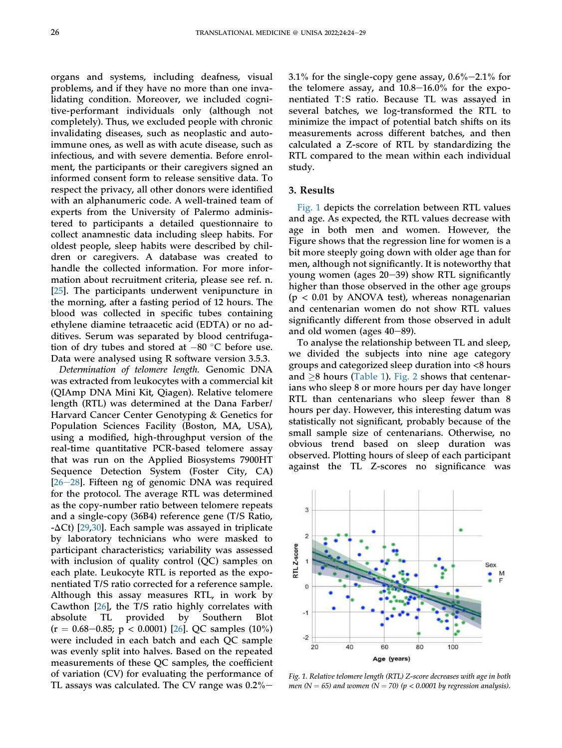organs and systems, including deafness, visual problems, and if they have no more than one invalidating condition. Moreover, we included cognitive-performant individuals only (although not completely). Thus, we excluded people with chronic invalidating diseases, such as neoplastic and autoimmune ones, as well as with acute disease, such as infectious, and with severe dementia. Before enrolment, the participants or their caregivers signed an informed consent form to release sensitive data. To respect the privacy, all other donors were identified with an alphanumeric code. A well-trained team of experts from the University of Palermo administered to participants a detailed questionnaire to collect anamnestic data including sleep habits. For oldest people, sleep habits were described by children or caregivers. A database was created to handle the collected information. For more information about recruitment criteria, please see ref. n. [\[25](#page-7-4)]. The participants underwent venipuncture in the morning, after a fasting period of 12 hours. The blood was collected in specific tubes containing ethylene diamine tetraacetic acid (EDTA) or no additives. Serum was separated by blood centrifugation of dry tubes and stored at  $-80$  °C before use. Data were analysed using R software version 3.5.3.

Determination of telomere length. Genomic DNA was extracted from leukocytes with a commercial kit (QIAmp DNA Mini Kit, Qiagen). Relative telomere length (RTL) was determined at the Dana Farber/ Harvard Cancer Center Genotyping & Genetics for Population Sciences Facility (Boston, MA, USA), using a modified, high-throughput version of the real-time quantitative PCR-based telomere assay that was run on the Applied Biosystems 7900HT Sequence Detection System (Foster City, CA)  $[26-28]$  $[26-28]$  $[26-28]$ . Fifteen ng of genomic DNA was required for the protocol. The average RTL was determined as the copy-number ratio between telomere repeats and a single-copy (36B4) reference gene (T/S Ratio,  $-\Delta$ Ct) [[29](#page-7-6)[,30](#page-7-7)]. Each sample was assayed in triplicate by laboratory technicians who were masked to participant characteristics; variability was assessed with inclusion of quality control (QC) samples on each plate. Leukocyte RTL is reported as the exponentiated T/S ratio corrected for a reference sample. Although this assay measures RTL, in work by Cawthon [[26\]](#page-7-5), the T/S ratio highly correlates with absolute TL provided by Southern Blot  $(r = 0.68 - 0.85; p < 0.0001)$  [[26\]](#page-7-5). QC samples (10%) were included in each batch and each QC sample was evenly split into halves. Based on the repeated measurements of these QC samples, the coefficient of variation (CV) for evaluating the performance of TL assays was calculated. The CV range was  $0.2\%$  –

3.1% for the single-copy gene assay,  $0.6\%$  -2.1% for the telomere assay, and  $10.8-16.0\%$  for the exponentiated T∶S ratio. Because TL was assayed in several batches, we log-transformed the RTL to minimize the impact of potential batch shifts on its measurements across different batches, and then calculated a Z-score of RTL by standardizing the RTL compared to the mean within each individual study.

#### 3. Results

[Fig. 1](#page-4-0) depicts the correlation between RTL values and age. As expected, the RTL values decrease with age in both men and women. However, the Figure shows that the regression line for women is a bit more steeply going down with older age than for men, although not significantly. It is noteworthy that young women (ages  $20-39$ ) show RTL significantly higher than those observed in the other age groups  $(p < 0.01$  by ANOVA test), whereas nonagenarian and centenarian women do not show RTL values significantly different from those observed in adult and old women (ages  $40-89$ ).

To analyse the relationship between TL and sleep, we divided the subjects into nine age category groups and categorized sleep duration into <8 hours and  $\geq$ 8 hours [\(Table 1\)](#page-3-0). [Fig. 2](#page-5-0) shows that centenarians who sleep 8 or more hours per day have longer RTL than centenarians who sleep fewer than 8 hours per day. However, this interesting datum was statistically not significant, probably because of the small sample size of centenarians. Otherwise, no obvious trend based on sleep duration was observed. Plotting hours of sleep of each participant against the TL Z-scores no significance was

<span id="page-4-0"></span>

Fig. 1. Relative telomere length (RTL) Z-score decreases with age in both men (N = 65) and women (N = 70) (p < 0.0001 by regression analysis).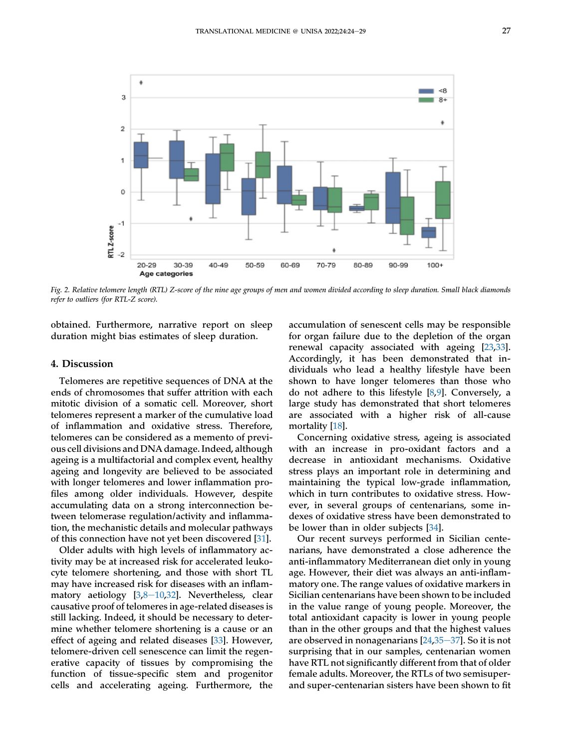<span id="page-5-0"></span>

Fig. 2. Relative telomere length (RTL) Z-score of the nine age groups of men and women divided according to sleep duration. Small black diamonds refer to outliers (for RTL-Z score).

obtained. Furthermore, narrative report on sleep duration might bias estimates of sleep duration.

#### 4. Discussion

Telomeres are repetitive sequences of DNA at the ends of chromosomes that suffer attrition with each mitotic division of a somatic cell. Moreover, short telomeres represent a marker of the cumulative load of inflammation and oxidative stress. Therefore, telomeres can be considered as a memento of previous cell divisions and DNA damage. Indeed, although ageing is a multifactorial and complex event, healthy ageing and longevity are believed to be associated with longer telomeres and lower inflammation profiles among older individuals. However, despite accumulating data on a strong interconnection between telomerase regulation/activity and inflammation, the mechanistic details and molecular pathways of this connection have not yet been discovered [\[31](#page-7-8)].

Older adults with high levels of inflammatory activity may be at increased risk for accelerated leukocyte telomere shortening, and those with short TL may have increased risk for diseases with an inflammatory aetiology  $[3,8-10,32]$  $[3,8-10,32]$  $[3,8-10,32]$  $[3,8-10,32]$  $[3,8-10,32]$  $[3,8-10,32]$  $[3,8-10,32]$  $[3,8-10,32]$ . Nevertheless, clear causative proof of telomeres in age-related diseases is still lacking. Indeed, it should be necessary to determine whether telomere shortening is a cause or an effect of ageing and related diseases [[33](#page-7-10)]. However, telomere-driven cell senescence can limit the regenerative capacity of tissues by compromising the function of tissue-specific stem and progenitor cells and accelerating ageing. Furthermore, the

accumulation of senescent cells may be responsible for organ failure due to the depletion of the organ renewal capacity associated with ageing [[23](#page-7-2),[33\]](#page-7-10). Accordingly, it has been demonstrated that individuals who lead a healthy lifestyle have been shown to have longer telomeres than those who do not adhere to this lifestyle [[8](#page-6-7),[9\]](#page-6-14). Conversely, a large study has demonstrated that short telomeres are associated with a higher risk of all-cause mortality [[18\]](#page-6-13).

Concerning oxidative stress, ageing is associated with an increase in pro-oxidant factors and a decrease in antioxidant mechanisms. Oxidative stress plays an important role in determining and maintaining the typical low-grade inflammation, which in turn contributes to oxidative stress. However, in several groups of centenarians, some indexes of oxidative stress have been demonstrated to be lower than in older subjects [[34\]](#page-7-11).

Our recent surveys performed in Sicilian centenarians, have demonstrated a close adherence the anti-inflammatory Mediterranean diet only in young age. However, their diet was always an anti-inflammatory one. The range values of oxidative markers in Sicilian centenarians have been shown to be included in the value range of young people. Moreover, the total antioxidant capacity is lower in young people than in the other groups and that the highest values are observed in nonagenarians  $[24,35-37]$  $[24,35-37]$  $[24,35-37]$  $[24,35-37]$  $[24,35-37]$ . So it is not surprising that in our samples, centenarian women have RTL not significantly different from that of older female adults. Moreover, the RTLs of two semisuperand super-centenarian sisters have been shown to fit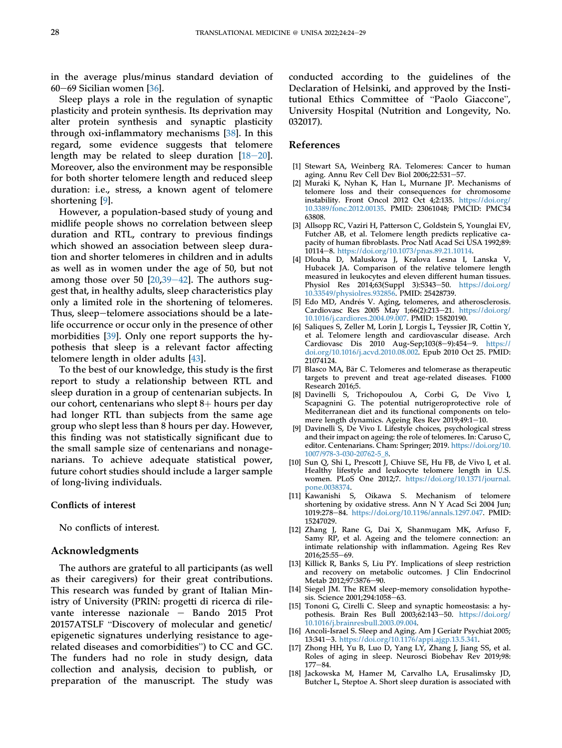in the average plus/minus standard deviation of 60 $-69$  Sicilian women [\[36](#page-7-13)].

Sleep plays a role in the regulation of synaptic plasticity and protein synthesis. Its deprivation may alter protein synthesis and synaptic plasticity through oxi-inflammatory mechanisms [[38\]](#page-7-14). In this regard, some evidence suggests that telomere length may be related to sleep duration  $[18-20]$  $[18-20]$  $[18-20]$  $[18-20]$  $[18-20]$ . Moreover, also the environment may be responsible for both shorter telomere length and reduced sleep duration: i.e., stress, a known agent of telomere shortening [\[9](#page-6-14)].

However, a population-based study of young and midlife people shows no correlation between sleep duration and RTL, contrary to previous findings which showed an association between sleep duration and shorter telomeres in children and in adults as well as in women under the age of 50, but not among those over 50  $[20,39-42]$  $[20,39-42]$  $[20,39-42]$  $[20,39-42]$  $[20,39-42]$  $[20,39-42]$ . The authors suggest that, in healthy adults, sleep characteristics play only a limited role in the shortening of telomeres. Thus, sleep-telomere associations should be a latelife occurrence or occur only in the presence of other morbidities [[39\]](#page-7-16). Only one report supports the hypothesis that sleep is a relevant factor affecting telomere length in older adults [[43\]](#page-7-17).

To the best of our knowledge, this study is the first report to study a relationship between RTL and sleep duration in a group of centenarian subjects. In our cohort, centenarians who slept  $8+$  hours per day had longer RTL than subjects from the same age group who slept less than 8 hours per day. However, this finding was not statistically significant due to the small sample size of centenarians and nonagenarians. To achieve adequate statistical power, future cohort studies should include a larger sample of long-living individuals.

#### Conflicts of interest

No conflicts of interest.

#### Acknowledgments

The authors are grateful to all participants (as well as their caregivers) for their great contributions. This research was funded by grant of Italian Ministry of University (PRIN: progetti di ricerca di rilevante interesse nazionale  $-$  Bando 2015 Prot 20157ATSLF "Discovery of molecular and genetic/ epigenetic signatures underlying resistance to agez015/ATSLF Discovery or molecular and genetic/<br>epigenetic signatures underlying resistance to age-<br>related diseases and comorbidities") to CC and GC. The funders had no role in study design, data collection and analysis, decision to publish, or preparation of the manuscript. The study was

conducted according to the guidelines of the Declaration of Helsinki, and approved by the Institutional Ethics Committee of "Paolo Giaccone", University Hospital (Nutrition and Longevity, No. 032017).

#### References

- <span id="page-6-0"></span>[1] Stewart SA, Weinberg RA. Telomeres: Cancer to human aging. Annu Rev Cell Dev Biol 2006;22:531-57.
- <span id="page-6-1"></span>[2] Muraki K, Nyhan K, Han L, Murnane JP. Mechanisms of telomere loss and their consequences for chromosome instability. Front Oncol 2012 Oct 4;2:135. [https://doi.org/](https://doi.org/10.3389/fonc.2012.00135) [10.3389/fonc.2012.00135](https://doi.org/10.3389/fonc.2012.00135). PMID: 23061048; PMCID: PMC34 63808.
- <span id="page-6-2"></span>[3] Allsopp RC, Vaziri H, Patterson C, Goldstein S, Younglai EV, Futcher AB, et al. Telomere length predicts replicative capacity of human fibroblasts. Proc Natl Acad Sci USA 1992;89: 10114-8. <https://doi.org/10.1073/pnas.89.21.10114>.
- <span id="page-6-3"></span>[4] Dlouha D, Maluskova J, Kralova Lesna I, Lanska V, Hubacek JA. Comparison of the relative telomere length measured in leukocytes and eleven different human tissues. Physiol Res 2014;63(Suppl 3):S343-50. [https://doi.org/](https://doi.org/10.33549/physiolres.932856) [10.33549/physiolres.932856.](https://doi.org/10.33549/physiolres.932856) PMID: 25428739.
- <span id="page-6-4"></span>[5] Edo MD, Andrés V. Aging, telomeres, and atherosclerosis. Cardiovasc Res 2005 May 1;66(2):213-21. [https://doi.org/](https://doi.org/10.1016/j.cardiores.2004.09.007) [10.1016/j.cardiores.2004.09.007](https://doi.org/10.1016/j.cardiores.2004.09.007). PMID: 15820190.
- <span id="page-6-5"></span>[6] Saliques S, Zeller M, Lorin J, Lorgis L, Teyssier JR, Cottin Y, et al. Telomere length and cardiovascular disease. Arch Cardiovasc Dis  $2010$  Aug-Sep;103(8-9):454-9. [https://](https://doi.org/10.1016/j.acvd.2010.08.002) [doi.org/10.1016/j.acvd.2010.08.002](https://doi.org/10.1016/j.acvd.2010.08.002). Epub 2010 Oct 25. PMID: 21074124.
- <span id="page-6-6"></span>[7] Blasco MA, Bär C. Telomeres and telomerase as therapeutic targets to prevent and treat age-related diseases. F1000 Research 2016;5.
- <span id="page-6-7"></span>[8] Davinelli S, Trichopoulou A, Corbi G, De Vivo I, Scapagnini G. The potential nutrigeroprotective role of Mediterranean diet and its functional components on telomere length dynamics. Ageing Res Rev 2019;49:1-10.
- <span id="page-6-14"></span>[9] Davinelli S, De Vivo I. Lifestyle choices, psychological stress and their impact on ageing: the role of telomeres. In: Caruso C, editor. Centenarians. Cham: Springer; 2019. [https://doi.org/10.](https://doi.org/10.1007/978-3-030-20762-5_8) [1007/978-3-030-20762-5\\_8.](https://doi.org/10.1007/978-3-030-20762-5_8)
- [10] Sun Q, Shi L, Prescott J, Chiuve SE, Hu FB, de Vivo I, et al. Healthy lifestyle and leukocyte telomere length in U.S. women. PLoS One 2012;7. [https://doi.org/10.1371/journal.](https://doi.org/10.1371/journal.pone.0038374) [pone.0038374](https://doi.org/10.1371/journal.pone.0038374).
- <span id="page-6-8"></span>[11] Kawanishi S, Oikawa S. Mechanism of telomere shortening by oxidative stress. Ann N Y Acad Sci 2004 Jun; 1019:278-84. [https://doi.org/10.1196/annals.1297.047.](https://doi.org/10.1196/annals.1297.047) PMID: 15247029.
- <span id="page-6-9"></span>[12] Zhang J, Rane G, Dai X, Shanmugam MK, Arfuso F, Samy RP, et al. Ageing and the telomere connection: an intimate relationship with inflammation. Ageing Res Rev 2016;25:55-69.
- <span id="page-6-10"></span>[13] Killick R, Banks S, Liu PY. Implications of sleep restriction and recovery on metabolic outcomes. J Clin Endocrinol Metab 2012;97:3876-90.
- [14] Siegel JM. The REM sleep-memory consolidation hypothesis. Science 2001;294:1058-63.
- [15] Tononi G, Cirelli C. Sleep and synaptic homeostasis: a hypothesis. Brain Res Bull 2003;62:143-50. [https://doi.org/](https://doi.org/10.1016/j.brainresbull.2003.09.004) [10.1016/j.brainresbull.2003.09.004.](https://doi.org/10.1016/j.brainresbull.2003.09.004)
- <span id="page-6-11"></span>[16] Ancoli-Israel S. Sleep and Aging. Am J Geriatr Psychiat 2005; 13:341-3. [https://doi.org/10.1176/appi.ajgp.13.5.341.](https://doi.org/10.1176/appi.ajgp.13.5.341)
- <span id="page-6-12"></span>[17] Zhong HH, Yu B, Luo D, Yang LY, Zhang J, Jiang SS, et al. Roles of aging in sleep. Neurosci Biobehav Rev 2019;98:  $177 - 84.$
- <span id="page-6-13"></span>[18] Jackowska M, Hamer M, Carvalho LA, Erusalimsky JD, Butcher L, Steptoe A. Short sleep duration is associated with